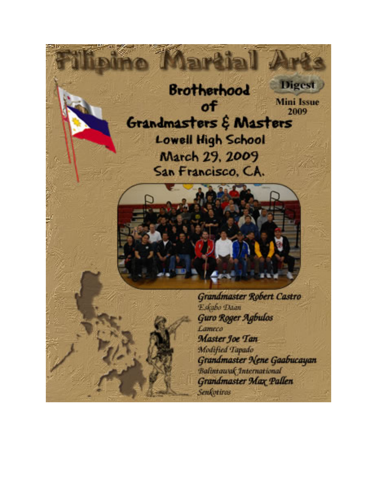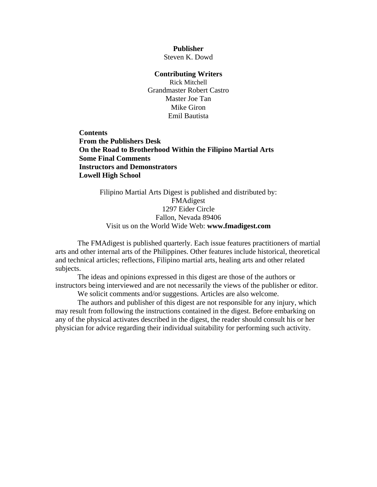**Publisher**  Steven K. Dowd

#### **Contributing Writers**

Rick Mitchell Grandmaster Robert Castro Master Joe Tan Mike Giron Emil Bautista

**Contents [From the Publishers Desk](#page-2-0)  [On the Road to Brotherhood Within the Filipino Martial Arts](#page-3-0)  [Some Final Comments](#page-12-0)  [Instructors and Demonstrators](#page-13-0)  [Lowell High School](#page-14-0)**

> Filipino Martial Arts Digest is published and distributed by: FMAdigest 1297 Eider Circle Fallon, Nevada 89406 Visit us on the World Wide Web: **[www.fmadigest.com](http://www.fmadigest.com/)**

The FMAdigest is published quarterly. Each issue features practitioners of martial arts and other internal arts of the Philippines. Other features include historical, theoretical and technical articles; reflections, Filipino martial arts, healing arts and other related subjects.

The ideas and opinions expressed in this digest are those of the authors or instructors being interviewed and are not necessarily the views of the publisher or editor.

We solicit comments and/or suggestions. Articles are also welcome.

The authors and publisher of this digest are not responsible for any injury, which may result from following the instructions contained in the digest. Before embarking on any of the physical activates described in the digest, the reader should consult his or her physician for advice regarding their individual suitability for performing such activity.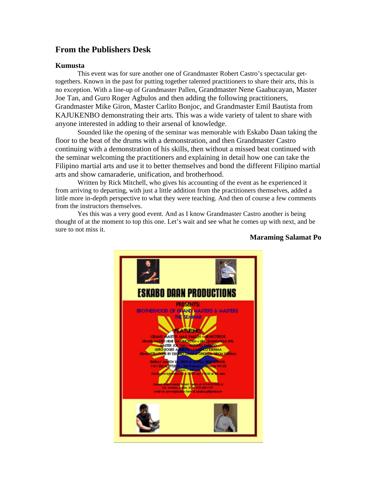# <span id="page-2-0"></span>**From the Publishers Desk**

#### **Kumusta**

This event was for sure another one of Grandmaster Robert Castro's spectacular gettogethers. Known in the past for putting together talented practitioners to share their arts, this is no exception. With a line-up of Grandmaster Pallen, Grandmaster Nene Gaabucayan, Master Joe Tan, and Guro Roger Agbulos and then adding the following practitioners, Grandmaster Mike Giron, Master Carlito Bonjoc, and Grandmaster Emil Bautista from KAJUKENBO demonstrating their arts. This was a wide variety of talent to share with anyone interested in adding to their arsenal of knowledge.

Sounded like the opening of the seminar was memorable with Eskabo Daan taking the floor to the beat of the drums with a demonstration, and then Grandmaster Castro continuing with a demonstration of his skills, then without a missed beat continued with the seminar welcoming the practitioners and explaining in detail how one can take the Filipino martial arts and use it to better themselves and bond the different Filipino martial arts and show camaraderie, unification, and brotherhood.

Written by Rick Mitchell, who gives his accounting of the event as he experienced it from arriving to departing, with just a little addition from the practitioners themselves, added a little more in-depth perspective to what they were teaching. And then of course a few comments from the instructors themselves.

Yes this was a very good event. And as I know Grandmaster Castro another is being thought of at the moment to top this one. Let's wait and see what he comes up with next, and be sure to not miss it.



#### **Maraming Salamat Po**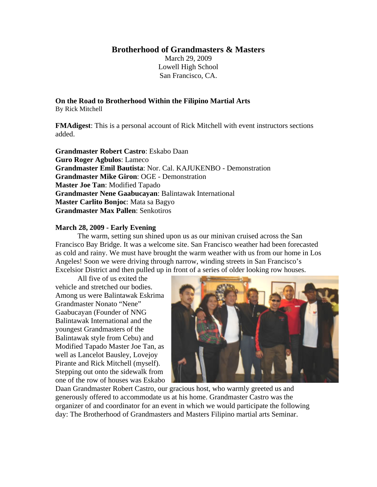**Brotherhood of Grandmasters & Masters** 

March 29, 2009 Lowell High School San Francisco, CA.

<span id="page-3-0"></span>**On the Road to Brotherhood Within the Filipino Martial Arts** 

By Rick Mitchell

**FMAdigest**: This is a personal account of Rick Mitchell with event instructors sections added.

**Grandmaster Robert Castro**: Eskabo Daan **Guro Roger Agbulos**: Lameco **Grandmaster Emil Bautista**: Nor. Cal. KAJUKENBO - Demonstration **Grandmaster Mike Giron**: OGE - Demonstration **Master Joe Tan**: Modified Tapado **Grandmaster Nene Gaabucayan**: Balintawak International **Master Carlito Bonjoc**: Mata sa Bagyo **Grandmaster Max Pallen**: Senkotiros

## **March 28, 2009 - Early Evening**

The warm, setting sun shined upon us as our minivan cruised across the San Francisco Bay Bridge. It was a welcome site. San Francisco weather had been forecasted as cold and rainy. We must have brought the warm weather with us from our home in Los Angeles! Soon we were driving through narrow, winding streets in San Francisco's Excelsior District and then pulled up in front of a series of older looking row houses.

All five of us exited the vehicle and stretched our bodies. Among us were Balintawak Eskrima Grandmaster Nonato "Nene" Gaabucayan (Founder of NNG Balintawak International and the youngest Grandmasters of the Balintawak style from Cebu) and Modified Tapado Master Joe Tan, as well as Lancelot Bausley, Lovejoy Pirante and Rick Mitchell (myself). Stepping out onto the sidewalk from one of the row of houses was Eskabo



Daan Grandmaster Robert Castro, our gracious host, who warmly greeted us and generously offered to accommodate us at his home. Grandmaster Castro was the organizer of and coordinator for an event in which we would participate the following day: The Brotherhood of Grandmasters and Masters Filipino martial arts Seminar.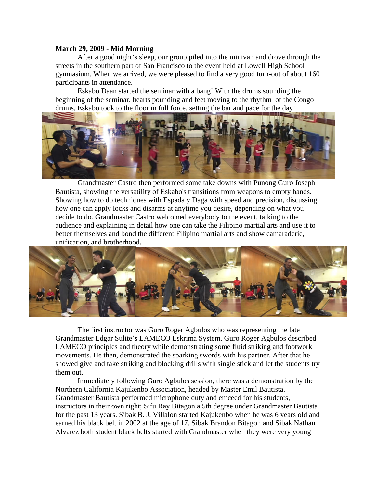#### **March 29, 2009 - Mid Morning**

After a good night's sleep, our group piled into the minivan and drove through the streets in the southern part of San Francisco to the event held at Lowell High School gymnasium. When we arrived, we were pleased to find a very good turn-out of about 160 participants in attendance.

Eskabo Daan started the seminar with a bang! With the drums sounding the beginning of the seminar, hearts pounding and feet moving to the rhythm of the Congo drums, Eskabo took to the floor in full force, setting the bar and pace for the day!



Grandmaster Castro then performed some take downs with Punong Guro Joseph Bautista, showing the versatility of Eskabo's transitions from weapons to empty hands. how one can apply locks and disarms at anytime you desire, depending on what you decide to do. Grandmaster Castro welcomed everybody to the event, talking to the audience and explaining in detail how one can take the Filipino martial arts and use it to better t hemselves and bond the different Filipino martial arts and show camaraderie, Showing how to do techniques with Espada y Daga with speed and precision, discussing unification, and brotherhood.



The first instructor was Guro Roger Agbulos who was representing the late Grandmaster Edgar Sulite's LAMECO Eskrima System. Guro Roger Agbulos described LAMECO principles and theory while demonstrating some fluid striking and footwork movements. He then, demonstrated the sparking swords with his partner. After that he showed give and take striking and blocking drills with single stick and let the students try them out.

Immediately following Guro Agbulos session, there was a demonstration by the instructors in their own right; Sifu Ray Bitagon a 5th degree under Grandmaster Bautista for the past 13 years. Sibak B. J. Villalon started Kajukenbo when he was 6 years old and earned his black belt in 2002 at the age of 17. Sibak Brandon Bitagon and Sibak Nathan Alvarez both student black belts started with Grandmaster when they were very young Northern California Kajukenbo Association, headed by Master Emil Bautista. Grandmaster Bautista performed microphone duty and emceed for his students,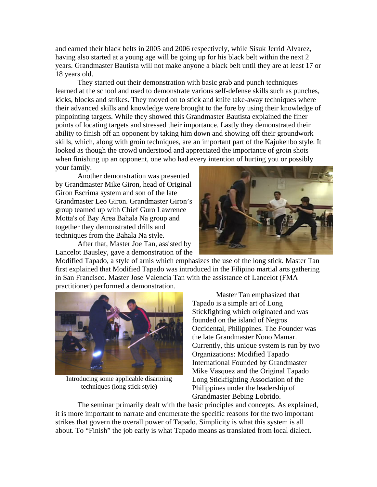and earned their black belts in 2005 and 2006 respectively, while Sisuk Jerrid Alvarez, having also started at a young age will be going up for his black belt within the next 2 years. Grandmaster Bautista will not make anyone a black belt until they are at least 17 or 18 years old.

They started out their demonstration with basic grab and punch techniques learned at the school and used to demonstrate various self-defense skills such as punches, their advanced skills and knowledge were brought to the fore by using their knowledge of pinpointing targets. While they showed this Grandmaster Bautista explained the finer points of locating targets and stressed their importance. Lastly they demonstrated their ability to finish off an opponent by taking him down and showing off their groundwork skills, which, along with groin techniques, are an important part of the Kajukenbo style. It looked as though the crowd understood and appr eciated the importance of groin shots when finishing up an opponent, one who had ev ery intention of hurting you or possibly your family. kicks, blocks and strikes. They moved on to stick and knife take-away techniques where

Another demonstration was presented by Gran dmaster Mike Giron, head of Original Giron Escrima system and son of the late Grandmaster Leo Giron. Grandmaster Giron's group teamed up with Chief Guro Lawrence Motta's of Bay Area Bahala Na group and together they demonstrated drills and techniques from the Bahala Na style.

After that, Master Joe Tan, assisted by Lancelot Bausley, gave a demonstration of the



Modified Tapado, a style of arnis which emphasizes the use of the long stick. Master Tan first explained that Modified Tapado was introduced in the Filipino martial arts gathering in San Francisco. Master Jose Valencia Tan with the assistance of Lancelot (FMA practitioner) performed a demonstration.



Introducing some applicable disarming techniques (long stick style)

 Master Tan emphasized that Tapado is a simple art of Long Stickfighting which originated and was founded on the island of Negros Occidental, Philippines. The Founder was Currently, this unique system is run by two Mike Vasquez and the Original Tapado Philippines under the leadership of the late Grandmaster Nono Mamar. Organizations: Modified Tapado International Founded by Grandmaster Long Stickfighting Association of the Grandmaster Bebing Lobrido.

The seminar primarily dealt with the basic principles and concepts. As explained, it is more important to narrate and enumerate the specific reasons for the two important strikes that govern the overall power of Tapado. Simplicity is what this system is all about. To "Finish" the job early is what Tapado means as translated from local dialect.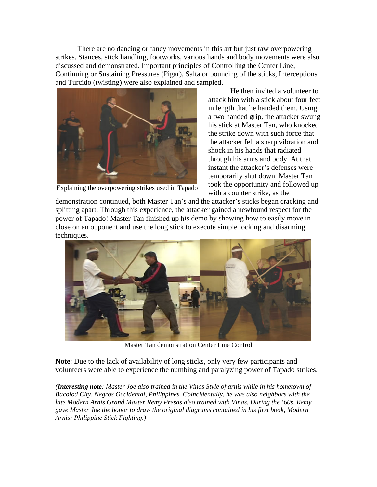There are no dancing or fancy movements in this art but just raw overpowering strikes. Stances, stick handling, footworks, various hands and body movements were al so discussed and demonstrated. Important principles of Controlling the Center Line, Continuing or Sustaining Pressures (Pigar), Salta or bouncing of the sticks, Interceptions and Tu rcido (twisting) were also explained and sampled.



Explaining the overpowering strikes used in Tapado

a two handed grip, the attacker swung his stick at Master Tan, who knocked instant the attacker's defenses were temporarily shut down. Master Tan took the opportunity and followed up with a counter strike, as the He then invited a volunteer to attack him with a stick about four feet in length that he handed them. Using the strike down with such force that the attacker felt a sharp vibration and shock in his hands that radiated through his arms and body. At that

demonstration continued, both Master Tan's and the attacker's sticks began cracking and splitting apart. Through this experience, the attacker gained a newfound respect for the power of Tapado! Master Tan finished up his demo by showing how to easily move in close on an opponent and use the long stick to execute simple locking and disarming techniques.



Master Tan demonstratio n Center Line Control

Note: Due to the lack of availability of long sticks, only very few participants and volunteers were able to experience the numbing and paralyzing power of Tapado strikes.

*(Interesting note: Master Joe also trained in the Vinas Style of arnis while in his hometown of* Bacolod City, Negros Occidental, Philippines. Coincidentally, he was also neighbors with the *late Mo dern Arnis Grand Master Remy Presas also trained with Vinas. During the '60s, Remy gave Master Joe the honor to draw the original diagrams contained in his first book, Modern Arnis: Philippine Stick Fighting.)*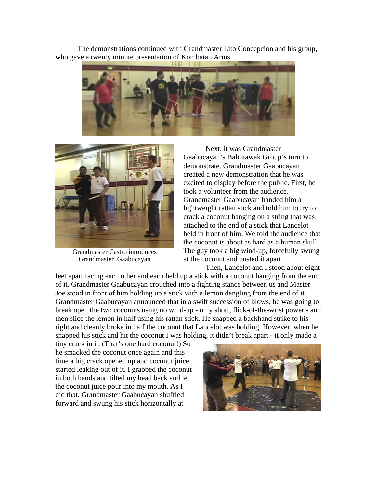The demonstrations continued with Grandmaster Lito Concepcion and his group , who gave a twenty minute presentation of Kombatan Arnis.





Grandmaster Castro introduces Grandmaster Gaabucayan

Next, it was Grandmaster Gaabucayan's Balintawak Group's turn to demonstrate. Grandmaster Gaabucayan created a new demonstration that he was excited to display before the public. First, he took a volunteer from the audience. Grandmaster Gaabucayan handed him a lightweight rattan stick and told him to try to crack a coconut hanging on a string that was attached to the end of a stick that Lancelot held in front of him. We told the audience that the coconut is about as hard as a human skull. The guy took a big wind-up, forcefully swung at the coconut and busted it apart.

feet apart facing each other and each held up a stick with a coconut hanging from the end of it. Grandmaster Gaabucayan crouched in to a fighting stance between us and Master Joe stood in front of him holding up a stick wi th a lemon dangling from the end of it. Grandmaster Gaabucayan announced that in a sw ift succession of blows, he was going to break open the two coconuts using no wind-up - only short, flick-of-the-wrist power - and then slice the lemon in half using his rattan stick. He snapped a backhand strike to his right and cleanly broke in half the coconut that L ancelot was holding. However, when he snapped his stick and hit the coconut I was holding, it didn't break apart - it only made a Then, Lancelot and I stood about eight

tiny crack in it. (That's one hard coconut!) So he smacked the coconut once again and this both hands and tilted my head back and let in time a big crack opened up and coconut juice started leaking out of it. I grabbed the coconut the coconut juice pour into my mouth. As I did that, Grandmaster Gaabucayan shuffled forward and swung his stick horizontally at

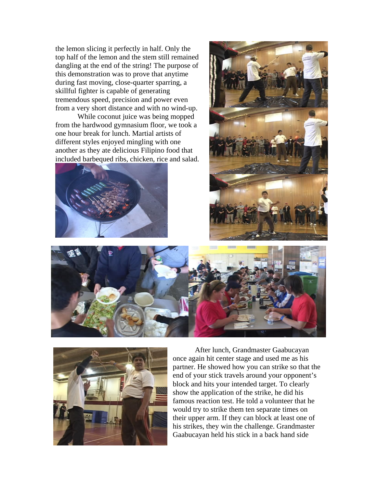the lem on slicing it perfectly in half. Only the dangling at the end of the string! The purpose of this demonstration was to prove that anytime during fast moving, close-quarter sparring, a skillful fighter is capable of generating tremendous speed, precision and power even from a very short distance and with no wind-up. top half of the lemon and the stem still remained

While coconut juice was being mopped from the hardwood gymnasium floor, we took a one hour break for lunch. Martial artists of different styles enjoyed mingling with one another as they ate delicious Filipino food that included barbequed ribs, chicken, rice and salad.









once ag ain hit center stage and used me as his partner. He showed how you can strike so that the end of your stick travels around your opponent's block and hits your intended target. To clearly show the application of the strike, he did his famous reaction test. He told a volunteer that he would try to strike them ten separate times on After lunch, Grandmaster Gaabucayan their upper arm. If they can block at least one of his strikes, they win the challenge. Grandmaster Gaabucayan held his stick in a back hand side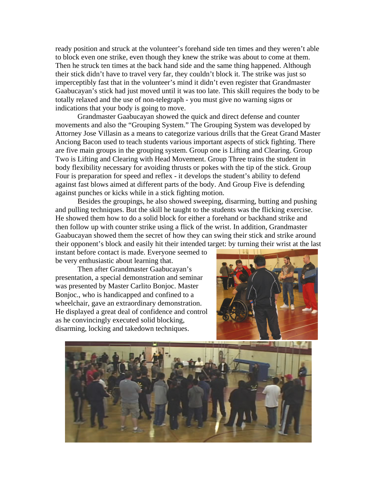ready position and struck at the volunteer's for ehand side ten times and they weren't able to block even one strike, even though they knew t he strike was about to come at them. Then he struck ten times at the back hand side and the same thing happened. Although their stick didn't have to travel very far, they c ouldn't block it. The strike was just so imperceptibly fast that in the volunteer's mind it didn't even register that Grandmaster Gaabucayan's stick had just moved until it was too late. This skill requires the body to be totally relaxed and the use of non-telegraph - y ou must give no warning signs or indications that your body is going to move.

Grandmaster Gaabucayan showed the quick and direct defense and counter movements and also the "Grouping System." The Grouping System was developed by Attorney Jose Villasin as a means to categorize various drills that the Great Grand Master Anciong Bacon used to teach students various important aspects of stick fighting. There are five main groups in the grouping system. Group one is Lifting and Clearing. Group Two is Lifting and Clearing with Head Movement. Group Three trains the student in body flexibility necessary for avoiding thrusts or pokes with the tip of the stick. Group Four is preparation for speed and reflex - it develops the student's ability to defend against fast blows aimed at different parts of the body. And Group Five is defending against punches or kicks while in a stick fighting motion.

Besides the groupings, he also showed sweeping, disarming, butting and pushing and pulling techniques. But the skill he taught to the students was the flicking exercise. He showed them how to do a solid block for either a forehand or backhand strike and then follow up with counter strike using a flick of the wrist. In addition, Grandmaster Gaabucayan showed them the secret of how they can swing their stick and strike around their opponent's block and easily hit their intended target: by turning their wrist at the last

instant before contact is made. Everyone seemed to be very enthusiastic about learning that.

Then after Grandmaster Gaabucayan's presentation, a special demonstration and seminar was presented by Master Carlito Bonjoc. Master Bonjoc., who is handicapped and confined to a wheelchair, gave an extraordinary demonstration. He displayed a great deal of confidence and control as he convincingly executed solid blocking, disarming, locking and takedown techniques.



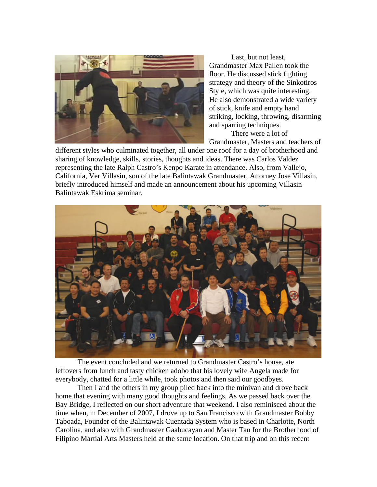

Last, but not least, Grandmaster Max Pallen took the floor. He discussed stick fighting strategy and theory of the Sinkotiro s Style, which was quite interesting. He also demonstrated a wide variety of stick, knife and empty hand striking, locking, throwing, disarming and sparring techniques.

Grandmaster, Masters and teachers of There were a lot of

California, Ver Villasin, son of the late Balintawak Grandmaster, Attorney Jose Villasin, different styles who culminated together, all under one roof for a day of brotherhood and sharing of knowledge, skills, stories, thoughts and ideas. There was Carlos Valdez representing the late Ralph Castro's Kenpo Karate in attendance. Also, from Vallejo, briefly introduced himself and made an announcement about his upcoming Villasin Balintawak Eskrima seminar.



The event concluded and we returned to Grandmaster Castro's house, ate leftovers from lunch and tasty chicken adobo that his lovely wife Angela made for everybody, chatted for a little while, took photos and then said our goodbyes.

Then I and the others in my group piled back into the minivan and drove back home that evening with many good thoughts and feelings. As we passed back over the Bay Bridge, I reflected on our short adventure that weekend. I also reminisced about the time when, in December of 2007, I drove up to San Francisco with Grandmaster Bobby Taboada, Founder of the Balintawak Cuentada System who is based in Charlotte, North Carolina, and also with Grandmaster Gaabucayan and Master Tan for the Brotherhood of Filipino Martial Arts Masters held at the same location. On that trip and on this recent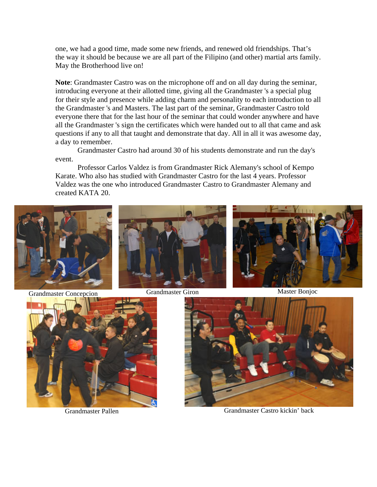one, we had a good time, made some new friends, and renewed old friendships. That's the way it should be because we are all part of the Filipino (and other) martial arts family. May the Brotherhood live on!

**Note**: Grandmaster Castro was on the microphone off and on all day during the seminar, introducing everyone at their allotted time, giving a ll the Grandmaster 's a special plug for their style and presence while adding charm and personality to each introduction to all the Grandmaster 's and Masters. The last part of the seminar, Grandmaster Castro told everyone there that for the last hour of the seminar that could wonder anywhere and have all the Grandmaster 's sign the certificates which were handed out to all that came and ask questions if any to all that taught and demonstrate that day. All in all it was awesome day, a day to remember.

Grandmaster Castro had around 30 of his students demonstrate and run the day's event.

Professor Carlos Valdez is from Grandmaster Rick Alemany's school of Kempo Valdez was the one who introduced Grandmaster Castro to Grandmaster Alemany and Karate. Who also has studied with Grandmaster Castro for the last 4 years. Professor created KATA 20.







Grandmaster Pallen Grandmaster Castro kickin' back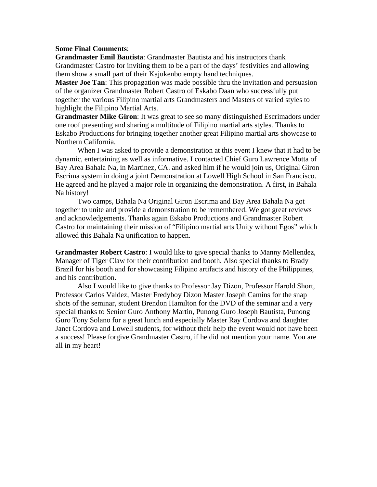## <span id="page-12-0"></span>**Some Final Comments**:

**Grandmaster Emil Bautista**: Grandmaster Bautista and his instructors thank Grandmaster Castro for inviting them to be a part of the days' festivities and allowing them show a small part of their Kajukenbo empty hand techniques.

**Master Joe Tan**: This propagation was made possible thru the invitation and persuasion of the organizer Grandmaster Robert Castro of Eskabo Daan who successfully put together the various Filipino martial arts Grandmasters and Masters of varied styles to highlight the Filipino Martial Arts.

**Grandmaster Mike Giron**: It was great to see so many distinguished Escrimadors under one roof presenting and sharing a multitude of Filipino martial arts styles. Thanks to Eskabo Productions for bringing together another great Filipino martial arts showcase to Northern California.

dynamic, entertaining as well as informative. I contacted Chief Guro Lawrence Motta of Bay Ar ea Bahala Na, in Martinez, CA. and asked him if he would join us, Original Giron Escrima system in doing a joint Demonstration at Lowell High School in San Francisco. When I was asked to provide a demonstration at this event I knew that it had to be He agreed and he played a major role in organizing the demonstration. A first, in Bahala Na history!

Two camps, Bahala Na Original Giron Escrima and Bay Area Bahala Na got together to unite and provide a demonstration to be remembered. We got great reviews and acknowledgements. Thanks again Eskabo Productions and Grandmaster Robert Castro for maintaining their mission of "Filipino martial arts Unity without Egos" which allowed this Bahala Na unification to happen.

**Grandmaster Robert Castro**: I would like to give special thanks to Manny Mellendez, Manager of Tiger Claw for their contribution and booth. Also special thanks to Brady Brazil for his booth and for showcasing Filipino artifacts and history of the Philippines, and his contribution.

Also I would like to give thanks to Prof essor Jay Dizon, Professor Harold Short, Professor Carlos Valdez, Master Fredyboy Dizon Master Joseph Camins for the snap shots of the seminar, student Brendon Hamilton for the DVD of the seminar and a very special thanks to Senior Guro Anthony Martin, Punong Guro Joseph Bautista, Punong Guro Tony Solano for a great lunch and especially Master Ray Cordova and daughter Janet Cordova and Lowell students, for without their help the event would not have been a success! Please forgive Grandmaster Castro, if he did not mention your name. You are all in my heart!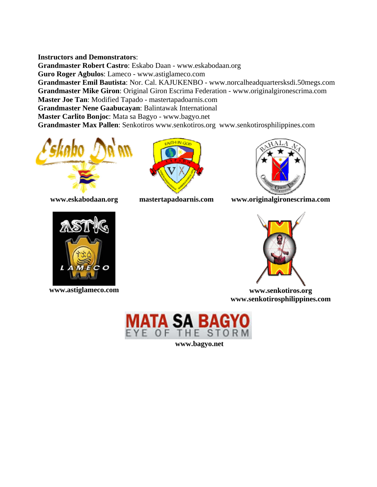## <span id="page-13-0"></span>**Instructors and Demonstrators:**

**Gran dmaster Robert Castro**: Eskabo Daan - www.eskabodaan.org **Guro Roger Agbulos**: Lameco - www.astiglameco.com Grandmaster Emil Bautista: Nor. Cal. KAJUKENBO - www.norcalheadquartersksdi.50megs.com Grandmaster Mike Giron: Original Giron Escrima Federation - www.originalgironescrima.com **Mast er Joe Tan**: Modified Tapado - mastertapadoarnis.com **Grandmaster Nene Gaabucayan: Balintawak International Mast er Carlito Bonjoc**: Mata sa Bagyo - www.bagyo.net Grandmaster Max Pallen: Senkotiros www.senkotiros.org www.senkotirosphilippines.com







**www.eskabodaan.org mastertapadoarnis.com www.originalgironescrima.com** 





**ww.astiglameco.com www.senkotiros.org w www.senkotirosphilippines .com**



**www.bagyo.net**